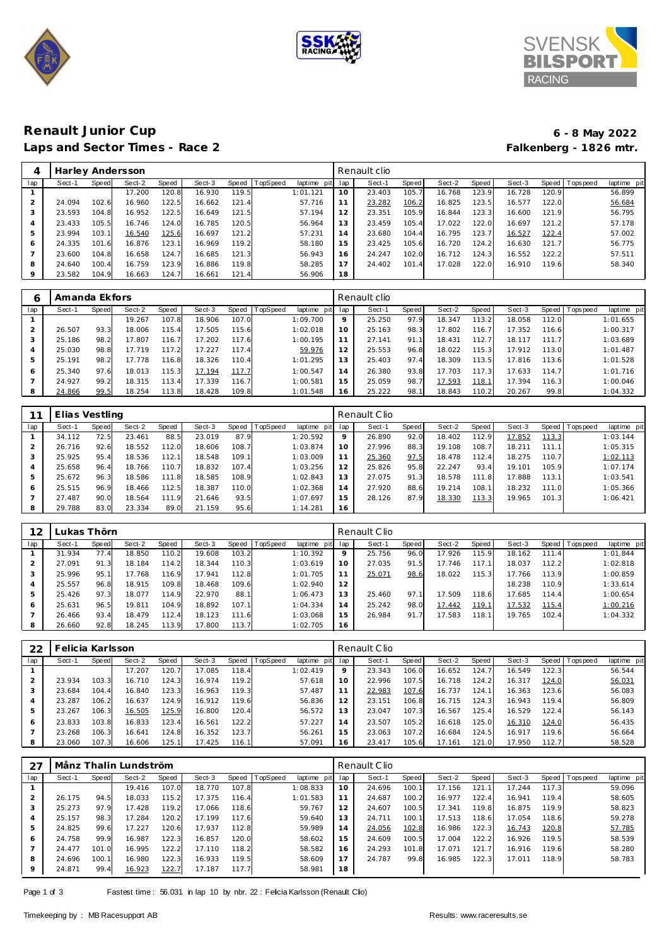





## **Renault Junior Cup 6 - 8 May 2022** Laps and Sector Times - Race 2 **Falkenberg - 1826 mtr.**

| 4   | Harley Andersson |       |        |       |        |       |                |                |     | Renault clio |       |        |       |        |       |                 |             |
|-----|------------------|-------|--------|-------|--------|-------|----------------|----------------|-----|--------------|-------|--------|-------|--------|-------|-----------------|-------------|
| lap | Sect-1           | Speed | Sect-2 | Speed | Sect-3 |       | Speed TopSpeed | laptime<br>pit | lap | Sect-1       | Speed | Sect-2 | Speed | Sect-3 |       | Speed Tops peed | laptime pit |
|     |                  |       | 17.200 | 120.8 | 16.930 | 119.5 |                | 1:01.121       | 10  | 23.403       | 105.7 | 16.768 | 123.9 | 16.728 | 120.9 |                 | 56.899      |
|     | 24.094           | 102.6 | 16.960 | 122.5 | 16.662 | 121.4 |                | 57.716         | 11  | 23.282       | 106.2 | 16.825 | 123.5 | 16.577 | 122.0 |                 | 56.684      |
| 3   | 23.593           | 104.8 | 16.952 | 122.5 | 16.649 | 121.5 |                | 57.194         | 12  | 23.351       | 105.9 | 16.844 | 123.3 | 16.600 | 121.9 |                 | 56.795      |
| 4   | 23.433           | 105.5 | 16.746 | 124.0 | 16.785 | 120.5 |                | 56.964         | 13  | 23.459       | 105.4 | 17.022 | 122.0 | 16.697 | 121.2 |                 | 57.178      |
| 5   | 23.994           | 103.1 | 16.540 | 125.6 | 16.697 | 121.2 |                | 57.231         | 14  | 23.680       | 104.4 | 16.795 | 123.7 | 16.527 | 122.4 |                 | 57.002      |
| 6   | 24.335           | 101.6 | 16.876 | 123.1 | 16.969 | 119.2 |                | 58.180         | 15  | 23.425       | 105.6 | 16.720 | 124.2 | 16.630 | 121.7 |                 | 56.775      |
|     | 23.600           | 104.8 | 16.658 | 124.7 | 16.685 | 121.3 |                | 56.943         | 16  | 24.247       | 102.0 | 16.712 | 124.3 | 16.552 | 122.2 |                 | 57.511      |
| 8   | 24.640           | 100.4 | 16.759 | 123.9 | 16.886 | 119.8 |                | 58.285         | 17  | 24.402       | 101.4 | 17.028 | 122.0 | 16.910 | 119.6 |                 | 58.340      |
| 9   | 23.582           | 104.9 | 16.663 | 124.7 | 16.661 | 121.4 |                | 56.906         | 18  |              |       |        |       |        |       |                 |             |

|                | Amanda Ekfors |       |        |              |        |       |                 |                |     | Renault clio |       |        |       |        |         |           |             |
|----------------|---------------|-------|--------|--------------|--------|-------|-----------------|----------------|-----|--------------|-------|--------|-------|--------|---------|-----------|-------------|
| lap            | Sect-1        | Speed | Sect-2 | <b>Speed</b> | Sect-3 | Speed | <b>TopSpeed</b> | laptime<br>pit | lap | Sect-1       | Speed | Sect-2 | Speed | Sect-3 | Speed I | Tops peed | laptime pit |
|                |               |       | 19.267 | 107.8        | 18.906 | 107.0 |                 | 1:09.700       | 9   | 25.250       | 97.9  | 18.347 | 113.2 | 18.058 | 112.0   |           | 1:01.655    |
| $\overline{2}$ | 26.507        | 93.3  | 18.006 | 115.4        | 17.505 | 15.6  |                 | 1:02.018       | 10  | 25.163       | 98.3  | 17.802 | 116.7 | 17.352 | 116.6   |           | 1:00.317    |
| 3              | 25.186        | 98.2  | 17.807 | 116.7        | 17.202 | 117.6 |                 | 1:00.195       |     | 27.141       | 91.1  | 18.431 | 112.7 | 18.117 | 111.7   |           | 1:03.689    |
| 4              | 25.030        | 98.8  | 17.719 | 117.2        | 17.227 | 117.4 |                 | 59.976         |     | 25.553       | 96.8  | 18.022 | 115.3 | 17.912 | 113.0   |           | 1:01.487    |
| 5              | 25.191        | 98.2  | 17.778 | 116.8        | 18.326 | 110.4 |                 | 1:01.295       | 13  | 25.403       | 97.4  | 18.309 | 113.5 | 17.816 | 113.6   |           | 1:01.528    |
| 6              | 25.340        | 97.6  | 18.013 | 115.3        | 17.194 | 117.7 |                 | 1:00.547       | 14  | 26.380       | 93.8  | 17.703 | 117.3 | 17.633 | 114.7   |           | 1:01.716    |
|                | 24.927        | 99.2  | 18.315 | 113.4        | 17.339 | 116.7 |                 | 1:00.581       | 15  | 25.059       | 98.7  | 17.593 | 118.1 | 17.394 | 116.3   |           | 1:00.046    |
| 8              | 24.866        | 99.5  | 18.254 | 113.8        | 18.428 | 109.8 |                 | 1:01.548       | 16  | 25.222       | 98.1  | 18.843 | 110.2 | 20.267 | 99.8    |           | 1:04.332    |

|                | Elias Vestling |              |        |       |        |       |          |             |         | Renault Clio |       |        |                       |        |       |                   |             |
|----------------|----------------|--------------|--------|-------|--------|-------|----------|-------------|---------|--------------|-------|--------|-----------------------|--------|-------|-------------------|-------------|
| lap            | Sect-1         | <b>Speed</b> | Sect-2 | Speed | Sect-3 | Speed | TopSpeed | laptime pit | lap     | Sect-1       | Speed | Sect-2 | Speed                 | Sect-3 |       | Speed   Tops peed | laptime pit |
|                | 34.112         | 72.5         | 23.461 | 88.5  | 23.019 | 87.9  |          | 1:20.592    | $\circ$ | 26.890       | 92.0  | 18.402 | 112.9                 | 17.852 | 113.3 |                   | 1:03.144    |
| 2              | 26.716         | 92.6         | 18.552 | 112.0 | 18.606 | 108.7 |          | 1:03.874    | 10      | 27.996       | 88.3  | 19.108 | 108.7                 | 18.211 | 111.1 |                   | 1:05.315    |
| 3              | 25.925         | 95.4         | 18.536 | 112.1 | 18.548 | 109.1 |          | 1:03.009    | 11      | 25.360       | 97.5  | 18.478 | 112.4                 | 18.275 | 110.7 |                   | 1:02.113    |
| $\overline{4}$ | 25.658         | 96.4         | 18.766 | 110.7 | 18.832 | 107.4 |          | 1:03.256    | 2       | 25.826       | 95.8  | 22.247 | 93.4                  | 19.101 | 105.9 |                   | 1:07.174    |
| 5              | 25.672         | 96.3         | 18.586 | 111.8 | 18.585 | 108.9 |          | 1:02.843    | 13      | 27.075       | 91.3  | 18.578 | 111<br>8 <sup>1</sup> | 17.888 | 113.1 |                   | 1:03.541    |
| 6              | 25.515         | 96.9         | 18.466 | 112.5 | 18.387 | 110.0 |          | 1:02.368    | 14      | 27.920       | 88.6  | 19.214 | 108.1                 | 18.232 | 111.0 |                   | 1:05.366    |
|                | 27.487         | 90.0         | 18.564 | 111.9 | 21.646 | 93.5  |          | 1:07.697    | 15      | 28.126       | 87.9  | 18.330 | 113.3                 | 19.965 | 101.3 |                   | 1:06.421    |
| 8              | 29.788         | 83.0         | 23.334 | 89.0  | 21.159 | 95.6  |          | 1:14.281    | 16      |              |       |        |                       |        |       |                   |             |

| 12  |        | Lukas Thörn |        |       |        |       |          |             |         | Renault Clio |       |        |       |        |       |            |             |
|-----|--------|-------------|--------|-------|--------|-------|----------|-------------|---------|--------------|-------|--------|-------|--------|-------|------------|-------------|
| lap | Sect-1 | Speed       | Sect-2 | Speed | Sect-3 | Speed | TopSpeed | laptime pit | lap     | Sect-1       | Speed | Sect-2 | Speed | Sect-3 | Speed | Tops pee d | laptime pit |
|     | 31.934 | 77.4        | 18.850 | 110.2 | 19.608 | 103.2 |          | 1:10.392    | $\circ$ | 25.756       | 96.0  | 17.926 | 115.9 | 18.162 | 111.4 |            | 1:01.844    |
|     | 27.091 | 91.3        | 18.184 | 114.2 | 18.344 | 110.3 |          | 1:03.619    | 10      | 27.035       | 91.5  | 17.746 | 117.1 | 18.037 | 112.2 |            | 1:02.818    |
|     | 25.996 | 95.1        | 17.768 | 116.9 | 17.941 | 112.8 |          | 1:01.705    |         | 25.071       | 98.6  | 18.022 | 115.3 | 17.766 | 113.9 |            | 1:00.859    |
|     | 25.557 | 96.8        | 18.915 | 109.8 | 18.468 | 109.6 |          | 1:02.940    | 12      |              |       |        |       | 18.238 | 110.9 |            | 1:33.614    |
| 5   | 25.426 | 97.3        | 18.077 | 114.9 | 22.970 | 88.1  |          | 1:06.473    |         | 25.460       | 97.1  | 17.509 | 118.6 | 17.685 | 114.4 |            | 1:00.654    |
| 6   | 25.631 | 96.5        | 19.811 | 104.9 | 18.892 | 107.1 |          | 1:04.334    | 14      | 25.242       | 98.0  | 17.442 | 119.1 | 17.532 | 115.4 |            | 1:00.216    |
|     | 26.466 | 93.4        | 18.479 | 112.4 | 18.123 | 111.6 |          | 1:03.068    | 15      | 26.984       | 91.7  | 17.583 | 118.1 | 19.765 | 102.4 |            | 1:04.332    |
| 8   | 26.660 | 92.8        | 18.245 | 113.9 | 17.800 | 113.7 |          | 1:02.705    | 16      |              |       |        |       |        |       |            |             |

| 22  |        | Felicia Karlsson. |        |       |        |       |          |                 |         | Renault Clio |       |        |       |        |       |                 |             |
|-----|--------|-------------------|--------|-------|--------|-------|----------|-----------------|---------|--------------|-------|--------|-------|--------|-------|-----------------|-------------|
| lap | Sect-1 | Speed             | Sect-2 | Speed | Sect-3 | Speed | TopSpeed | laptime pit lap |         | Sect-1       | Speed | Sect-2 | Speed | Sect-3 |       | Speed Tops peed | laptime pit |
|     |        |                   | 17.207 | 120.  | 17.085 | 118.4 |          | 1:02.419        | $\circ$ | 23.343       | 106.0 | 16.652 | 124.7 | 16.549 | 122.3 |                 | 56.544      |
|     | 23.934 | 103.3             | 16.710 | 124.3 | 16.974 | 119.2 |          | 57.618          | 10      | 22.996       | 107.5 | 16.718 | 124.2 | 16.317 | 124.0 |                 | 56.031      |
|     | 23.684 | 104.4             | 16.840 | 123.3 | 16.963 | 119.3 |          | 57.487          | 11      | 22.983       | 107.6 | 16.737 | 124.1 | 16.363 | 123.6 |                 | 56.083      |
|     | 23.287 | 106.2             | 16.637 | 124.9 | 16.912 | 119.6 |          | 56.836          | 12      | 23.151       | 106.8 | 16.715 | 124.3 | 16.943 | 119.4 |                 | 56.809      |
|     | 23.267 | 106.3             | 16.505 | 125.9 | 16.800 | 120.4 |          | 56.572          | 13      | 23.047       | 107.3 | 16.567 | 125.4 | 16.529 | 122.4 |                 | 56.143      |
| 6   | 23.833 | 103.8             | 16.833 | 123.4 | 16.561 | 122.2 |          | 57.227          | 14      | 23.507       | 105.2 | 16.618 | 125.0 | 16.310 | 124.0 |                 | 56.435      |
|     | 23.268 | 106.3             | 16.641 | 124.8 | 16.352 | 123.7 |          | 56.261          | 15      | 23.063       | 107.2 | 16.684 | 124.5 | 16.917 | 119.6 |                 | 56.664      |
|     | 23.060 | 107.3             | 16.606 | 125.1 | 17.425 | 116.1 |          | 57.091          | 16      | 23.417       | 105.6 | 17.161 | 121.0 | 17.950 | 112.7 |                 | 58.528      |

|         |        |       | Månz Thalin Lundström |       |        |       |          |             |     | Renault Clio |              |        |       |        |       |                 |             |
|---------|--------|-------|-----------------------|-------|--------|-------|----------|-------------|-----|--------------|--------------|--------|-------|--------|-------|-----------------|-------------|
| lap     | Sect-1 | Speed | Sect-2                | Speed | Sect-3 | Speed | TopSpeed | laptime pit | lap | Sect-1       | <b>Speed</b> | Sect-2 | Speed | Sect-3 |       | Speed Tops peed | laptime pit |
|         |        |       | 19.416                | 107.0 | 18.770 | 107.8 |          | 1:08.833    | 10  | 24.696       | 100.1        | 17.156 | 121.1 | 17.244 | 117.3 |                 | 59.096      |
|         | 26.175 | 94.5  | 18.033                | 115.2 | 17.375 | 116.4 |          | 1:01.583    | 11  | 24.687       | 100.2        | 16.977 | 122.4 | 16.941 | 119.4 |                 | 58.605      |
| 3       | 25.273 | 97.9  | 17.428                | 119.2 | 17.066 | 118.6 |          | 59.767      | 12  | 24.607       | 100.5        | 17.341 | 119.8 | 16.875 | 119.9 |                 | 58.823      |
| 4       | 25.157 | 98.3  | 17.284                | 120.2 | 17.199 | 117.6 |          | 59.640      | 13  | 24.711       | 100.1        | 17.513 | 118.6 | 17.054 | 118.6 |                 | 59.278      |
| 5       | 24.825 | 99.6  | 17.227                | 120.6 | 17.937 | 112.8 |          | 59.989      | 14  | 24.056       | 102.8        | 16.986 | 122.3 | 16.743 | 120.8 |                 | 57.785      |
| 6       | 24.758 | 99.9  | 16.987                | 122.3 | 16.857 | 120.0 |          | 58.602      | 15  | 24.609       | 100.5        | 17.004 | 122.2 | 16.926 | 119.5 |                 | 58.539      |
|         | 24.477 | 101.0 | 16.995                | 122.2 | 17.110 | 118.2 |          | 58.582      | 16  | 24.293       | 101.8        | 17.071 | 121.7 | 16.916 | 119.6 |                 | 58.280      |
| 8       | 24.696 | 100.1 | 16.980                | 122.3 | 16.933 | 119.5 |          | 58.609      | 17  | 24.787       | 99.8         | 16.985 | 122.3 | 17.011 | 118.9 |                 | 58.783      |
| $\circ$ | 24.871 | 99.4  | 16.923                | 122.7 | 17.187 | 117.7 |          | 58.981      | 18  |              |              |        |       |        |       |                 |             |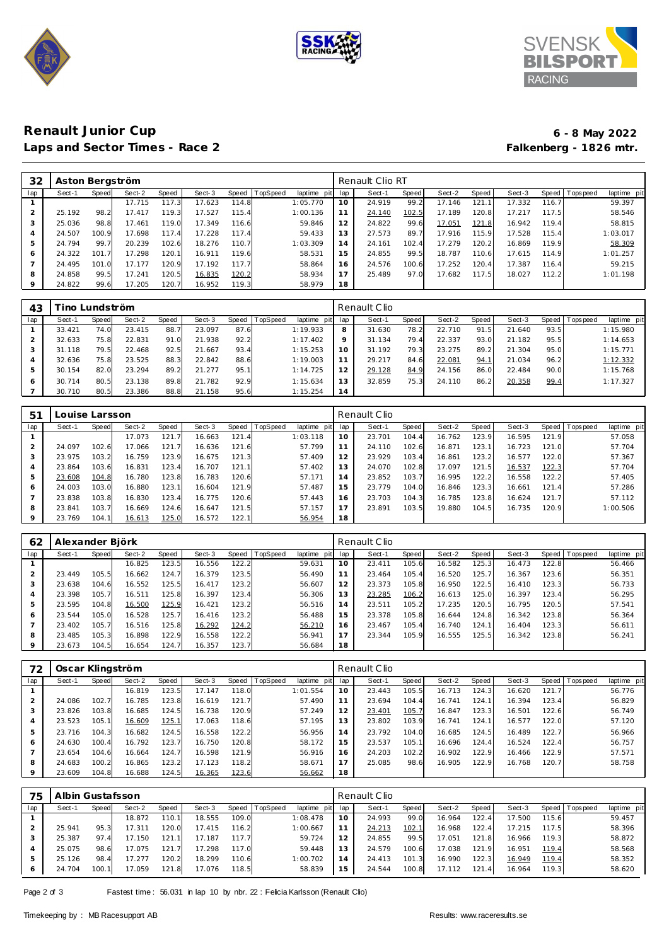





# **Renault Junior Cup 6 - 8 May 2022** Laps and Sector Times - Race 2

| 32      | Aston Bergström |       |        |       |        |       |          |             |     | Renault Clio RT |       |        |       |        |       |                                |
|---------|-----------------|-------|--------|-------|--------|-------|----------|-------------|-----|-----------------|-------|--------|-------|--------|-------|--------------------------------|
| lap     | Sect-1          | Speed | Sect-2 | Speed | Sect-3 | Speed | TopSpeed | laptime pit | lap | Sect-1          | Speed | Sect-2 | Speed | Sect-3 |       | Speed Tops peed<br>laptime pit |
|         |                 |       | 17.715 | 117.3 | 17.623 | 114.8 |          | 1:05.770    | 10  | 24.919          | 99.2  | 17.146 | 121.1 | 17.332 | 116.7 | 59.397                         |
|         | 25.192          | 98.2  | 17.417 | 119.3 | 17.527 | 115.4 |          | 1:00.136    | 11  | 24.140          | 102.5 | 17.189 | 120.8 | 17.217 | 117.5 | 58.546                         |
| 3       | 25.036          | 98.8  | 17.461 | 119.0 | 17.349 | 116.6 |          | 59.846      | 12  | 24.822          | 99.6  | 17.051 | 121.8 | 16.942 | 119.4 | 58.815                         |
| 4       | 24.507          | 100.9 | 17.698 | 117.4 | 17.228 | 117.4 |          | 59.433      | 13  | 27.573          | 89.7  | 17.916 | 115.9 | 17.528 | 115.4 | 1:03.017                       |
| 5       | 24.794          | 99.7  | 20.239 | 102.6 | 18.276 | 110.7 |          | 1:03.309    | 14  | 24.161          | 102.4 | 17.279 | 120.2 | 16.869 | 119.9 | 58.309                         |
| 6       | 24.322          | 101.7 | 17.298 | 120.1 | 16.911 | 119.6 |          | 58.531      | 15  | 24.855          | 99.5  | 18.787 | 110.6 | 17.615 | 114.9 | 1:01.257                       |
|         | 24.495          | 101.0 | 17.177 | 120.9 | 17.192 | 117.7 |          | 58.864      | 16  | 24.576          | 100.6 | 17.252 | 120.4 | 17.387 | 116.4 | 59.215                         |
| 8       | 24.858          | 99.5  | 17.241 | 120.5 | 16.835 | 120.2 |          | 58.934      | 17  | 25.489          | 97.0  | 17.682 | 117.5 | 18.027 | 112.2 | 1:01.198                       |
| $\circ$ | 24.822          | 99.6  | 17.205 | 120.7 | 16.952 | 119.3 |          | 58.979      | 18  |                 |       |        |       |        |       |                                |
|         |                 |       |        |       |        |       |          |             |     |                 |       |        |       |        |       |                                |

| 43  |        | ino Lundström |        |       |        |           |                 |             |         | Renault Clio |       |        |       |        |      |                |             |
|-----|--------|---------------|--------|-------|--------|-----------|-----------------|-------------|---------|--------------|-------|--------|-------|--------|------|----------------|-------------|
| lap | Sect-1 | <b>Speed</b>  | Sect-2 | Speed | Sect-3 | Speed   T | <b>TopSpeed</b> | laptime pit | lap     | Sect-1       | Speed | Sect-2 | Speed | Sect-3 |      | Speed Topspeed | laptime pit |
|     | 33.421 | 74.0          | 23.415 | 88.7  | 23.097 | 87.6      |                 | 1:19.933    | 8       | 31.630       | 78.2  | 22.710 | 91.5  | 21.640 | 93.5 |                | 1:15.980    |
|     | 32.633 | 75.8          | 22.831 | 91.0  | 21.938 | 92.2      |                 | 1:17.402    | $\circ$ | 31.134       | 79.4  | 22.337 | 93.0  | 21.182 | 95.5 |                | 1:14.653    |
|     | 31.118 | 79.5          | 22.468 | 92.5  | 21.667 | 93.4      |                 | 1:15.253    | 10      | 31.192       | 79.3  | 23.275 | 89.2  | 21.304 | 95.0 |                | 1:15.771    |
|     | 32.636 | 75.8          | 23.525 | 88.3  | 22.842 | 88.6      |                 | 1:19.003    |         | 29.217       | 84.6  | 22.081 | 94.1  | 21.034 | 96.2 |                | 1:12.332    |
|     | 30.154 | 82.0          | 23.294 | 89.2  | 21.277 | 95.1      |                 | 1:14.725    |         | 29.128       | 84.9  | 24.156 | 86.0  | 22.484 | 90.0 |                | 1:15.768    |
| 6   | 30.714 | 80.5          | 23.138 | 89.8  | 21.782 | 92.9      |                 | 1:15.634    | 13      | 32.859       | 75.3  | 24.110 | 86.2  | 20.358 | 99.4 |                | 1:17.327    |
|     | 30.710 | 80.5          | 23.386 | 88.8  | 21.158 | 95.6      |                 | 1:15.254    | 14      |              |       |        |       |        |      |                |             |

| 51  | Louise Larsson |       |        |                     |        |       |                 |                |     | Renault Clio |       |        |       |        |       |                 |             |
|-----|----------------|-------|--------|---------------------|--------|-------|-----------------|----------------|-----|--------------|-------|--------|-------|--------|-------|-----------------|-------------|
| lap | Sect-1         | Speed | Sect-2 | Speed               | Sect-3 | Speed | <b>TopSpeed</b> | laptime<br>pit | lap | Sect-1       | Speed | Sect-2 | Speed | Sect-3 |       | Speed Tops peed | laptime pit |
|     |                |       | 17.073 | 121.7               | 16.663 | 121.4 |                 | 1:03.118       | 10  | 23.701       | 104.4 | 16.762 | 123.9 | 16.595 | 121.9 |                 | 57.058      |
|     | 24.097         | 102.6 | 17.066 | 121<br><sup>7</sup> | 16.636 | 121.6 |                 | 57.799         | 11  | 24.110       | 102.6 | 16.871 | 123.1 | 16.723 | 121.0 |                 | 57.704      |
| 3   | 23.975         | 103.2 | 16.759 | 123.9               | 16.675 | 121.3 |                 | 57.409         | 12  | 23.929       | 103.4 | 16.861 | 123.2 | 16.577 | 122.0 |                 | 57.367      |
| 4   | 23.864         | 103.6 | 16.831 | 123.4               | 16.707 | 121.1 |                 | 57.402         | 13  | 24.070       | 102.8 | 17.097 | 121.5 | 16.537 | 122.3 |                 | 57.704      |
| 5   | 23.608         | 104.8 | 16.780 | 123.8               | 16.783 | 120.6 |                 | 57.171         | 14  | 23.852       | 103.7 | 16.995 | 122.2 | 16.558 | 122.2 |                 | 57.405      |
| 6   | 24.003         | 103.0 | 16.880 | 123.1               | 16.604 | 121.9 |                 | 57.487         | 15  | 23.779       | 104.0 | 16.846 | 123.3 | 16.661 | 121.4 |                 | 57.286      |
|     | 23.838         | 103.8 | 16.830 | 123.4               | 16.775 | 120.6 |                 | 57.443         | 16  | 23.703       | 104.3 | 16.785 | 123.8 | 16.624 | 121.7 |                 | 57.112      |
| 8   | 23.841         | 103.7 | 16.669 | 124.6               | 16.647 | 121.5 |                 | 57.157         |     | 23.891       | 103.5 | 19.880 | 104.5 | 16.735 | 120.9 |                 | 1:00.506    |
| 9   | 23.769         | 104.1 | 16.613 | 125.0               | 16.572 | 122.1 |                 | 56.954         | 18  |              |       |        |       |        |       |                 |             |

| 62  | Alexander Björk |       |        |       |        |               |                 |             |     | Renault Clio |       |        |       |        |       |                   |             |
|-----|-----------------|-------|--------|-------|--------|---------------|-----------------|-------------|-----|--------------|-------|--------|-------|--------|-------|-------------------|-------------|
| lap | Sect-1          | Speed | Sect-2 | Speed | Sect-3 | Speed         | <b>TopSpeed</b> | laptime pit | lap | Sect-1       | Speed | Sect-2 | Speed | Sect-3 |       | Speed   Tops peed | laptime pit |
|     |                 |       | 16.825 | 123.5 | 16.556 | 122.2         |                 | 59.631      | 10  | 23.411       | 105.6 | 16.582 | 125.3 | 16.473 | 122.8 |                   | 56.466      |
|     | 23.449          | 105.5 | 16.662 | 124.7 | 16.379 | 123.5         |                 | 56.490      | 11  | 23.464       | 105.4 | 16.520 | 125.7 | 16.367 | 123.6 |                   | 56.351      |
|     | 23.638          | 104.6 | 16.552 | 125.5 | 16.417 | 123.2         |                 | 56.607      | 12  | 23.373       | 105.8 | 16.950 | 122.5 | 16.410 | 123.3 |                   | 56.733      |
|     | 23.398          | 105.7 | 16.511 | 125.8 | 16.397 | 123.4         |                 | 56.306      | 13  | 23.285       | 106.2 | 16.613 | 125.0 | 16.397 | 123.4 |                   | 56.295      |
| 5   | 23.595          | 104.8 | 16.500 | 125.9 | 16.421 | 123.2         |                 | 56.516      | 14  | 23.511       | 105.2 | 17.235 | 120.5 | 16.795 | 120.5 |                   | 57.541      |
| 6   | 23.544          | 105.0 | 16.528 | 125.7 | 16.416 | 123.2         |                 | 56.488      | 15  | 23.378       | 105.8 | 16.644 | 124.8 | 16.342 | 123.8 |                   | 56.364      |
|     | 23.402          | 105.7 | 16.516 | 125.8 | 16.292 | <u> 124.2</u> |                 | 56.210      | 16  | 23.467       | 105.4 | 16.740 | 124.1 | 16.404 | 123.3 |                   | 56.611      |
| 8   | 23.485          | 105.3 | 16.898 | 122.9 | 16.558 | 122.2         |                 | 56.941      | 17  | 23.344       | 105.9 | 16.555 | 125.5 | 16.342 | 123.8 |                   | 56.241      |
|     | 23.673          | 104.5 | 16.654 | 124.7 | 16.357 | 123.7         |                 | 56.684      | 18  |              |       |        |       |        |       |                   |             |

| 72  | Oscar Klingström |       |        |       |        |           |          |                |     | Renault Clio |       |        |       |        |       |                |             |
|-----|------------------|-------|--------|-------|--------|-----------|----------|----------------|-----|--------------|-------|--------|-------|--------|-------|----------------|-------------|
| lap | Sect-1           | Speed | Sect-2 | Speed | Sect-3 | Speed   T | TopSpeed | laptime<br>pit | lap | Sect-1       | Speed | Sect-2 | Speed | Sect-3 |       | Speed Topspeed | laptime pit |
|     |                  |       | 16.819 | 123.5 | 17.147 | 118.0     |          | 1:01.554       | 10  | 23.443       | 105.5 | 16.713 | 124.3 | 16.620 | 121.7 |                | 56.776      |
|     | 24.086           | 102.7 | 16.785 | 123.8 | 16.619 | 121.7     |          | 57.490         | 11  | 23.694       | 104.4 | 16.741 | 124.1 | 16.394 | 123.4 |                | 56.829      |
|     | 23.826           | 103.8 | 16.685 | 124.5 | 16.738 | 120.9     |          | 57.249         | 12  | 23.401       | 105.7 | 16.847 | 123.3 | 16.501 | 122.6 |                | 56.749      |
|     | 23.523           | 105.1 | 16.609 | 125.1 | 17.063 | 118.6     |          | 57.195         | 13  | 23.802       | 103.9 | 16.741 | 124.1 | 16.577 | 122.0 |                | 57.120      |
|     | 23.716           | 104.3 | 16.682 | 124.5 | 16.558 | 122.2     |          | 56.956         | 14  | 23.792       | 104.0 | 16.685 | 124.5 | 16.489 | 122.7 |                | 56.966      |
| 6   | 24.630           | 100.4 | 16.792 | 123.7 | 16.750 | 120.8     |          | 58.172         | 15  | 23.537       | 105.1 | 16.696 | 124.4 | 16.524 | 122.4 |                | 56.757      |
|     | 23.654           | 104.6 | 16.664 | 124.7 | 16.598 | 121.9     |          | 56.916         | 16  | 24.203       | 102.2 | 16.902 | 122.9 | 16.466 | 122.9 |                | 57.571      |
| 8   | 24.683           | 100.2 | 16.865 | 123.2 | 17.123 | 118.2     |          | 58.671         |     | 25.085       | 98.6  | 16.905 | 122.9 | 16.768 | 120.7 |                | 58.758      |
|     | 23.609           | 104.8 | 16.688 | 124.5 | 16.365 | 123.6     |          | 56.662         | 18  |              |       |        |       |        |       |                |             |

| 75  | Albin Gustafsson |       |        |       |        |       |          |                 |    | Renault Clio |       |        |                       |        |        |                 |             |
|-----|------------------|-------|--------|-------|--------|-------|----------|-----------------|----|--------------|-------|--------|-----------------------|--------|--------|-----------------|-------------|
| lap | Sect-1           | Speed | Sect-2 | Speed | Sect-3 | Speed | TopSpeed | laptime pit lap |    | Sect-1       | Speed | Sect-2 | Speed                 | Sect-3 |        | Speed Tops peed | laptime pit |
|     |                  |       | 18.872 | 110.7 | 18.555 | 109.0 |          | 1:08.478        | 10 | 24.993       | 99.0  | 16.964 | 122.4                 | 17.500 | 115.61 |                 | 59.457      |
|     | 25.941           | 95.3  | 17.311 | 120.0 | 17.415 | 116.2 |          | 1:00.667        |    | 24.213       | 102.1 | 16.968 | 122.4                 | 17.215 | 117.5  |                 | 58.396      |
|     | 25.387           | 97.4  | 17.150 | 121.  | 17.187 | 117.7 |          | 59.724          | 12 | 24.855       | 99.5  | 17.051 | 121.8                 | 16.966 | 119.3  |                 | 58.872      |
|     | 25.075           | 98.6  | 17.075 | 121.7 | 17.298 | 117.0 |          | 59.448          | 13 | 24.579       | 100.6 | 17.038 | 121.9                 | 16.951 | 119.4  |                 | 58.568      |
| 5   | 25.126           | 98.4  | 17.277 | 120.2 | 18.299 | 110.6 |          | 1:00.702        | 14 | 24.413       | 101.3 | 16.990 | 122.3                 | 16.949 | 119.4  |                 | 58.352      |
| O   | 24.704           | 100.1 | 17.059 | 121.8 | 17.076 | 118.5 |          | 58.839          | 15 | 24.544       | 100.8 | 17.112 | 121<br>$\overline{A}$ | 16.964 | 119.3  |                 | 58.620      |

Page 2 of 3 Fastest time : 56.031 in lap 10 by nbr. 22 : Felicia Karlsson (Renault Clio)